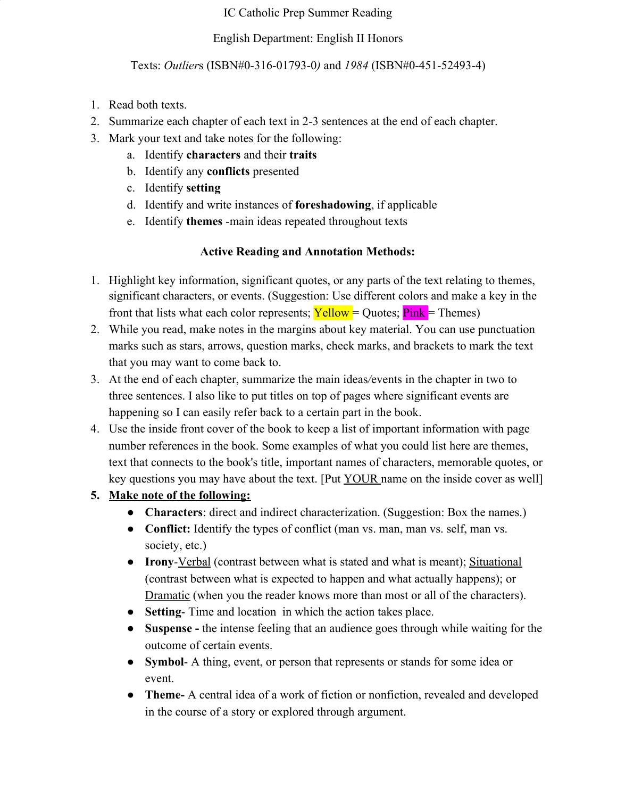#### IC Catholic Prep Summer Reading

#### English Department: English II Honors

#### Texts: *Outlier*s (ISBN#0-316-01793-0*)* and *1984* (ISBN#0-451-52493-4)

- 1. Read both texts.
- 2. Summarize each chapter of each text in 2-3 sentences at the end of each chapter.
- 3. Mark your text and take notes for the following:
	- a. Identify **characters** and their **traits**
	- b. Identify any **conflicts** presented
	- c. Identify **setting**
	- d. Identify and write instances of **foreshadowing**, if applicable
	- e. Identify **themes** -main ideas repeated throughout texts

## **Active Reading and Annotation Methods:**

- 1. Highlight key information, significant quotes, or any parts of the text relating to themes, significant characters, or events. (Suggestion: Use different colors and make a key in the front that lists what each color represents;  $\text{Yellow} = \text{Quotes}; \text{pink} = \text{Themes}$ )
- 2. While you read, make notes in the margins about key material. You can use punctuation marks such as stars, arrows, question marks, check marks, and brackets to mark the text that you may want to come back to.
- 3. At the end of each chapter, summarize the main ideas*/*events in the chapter in two to three sentences. I also like to put titles on top of pages where significant events are happening so I can easily refer back to a certain part in the book.
- 4. Use the inside front cover of the book to keep a list of important information with page number references in the book. Some examples of what you could list here are themes, text that connects to the book's title, important names of characters, memorable quotes, or key questions you may have about the text. [Put YOUR name on the inside cover as well]

# **5. Make note of the following:**

- **Characters**: direct and indirect characterization. (Suggestion: Box the names.)
- **● Conflict:** Identify the types of conflict (man vs. man, man vs. self, man vs. society, etc.)
- **Irony***-*Verbal (contrast between what is stated and what is meant); Situational (contrast between what is expected to happen and what actually happens); or Dramatic (when you the reader knows more than most or all of the characters).
- **Setting** Time and location in which the action takes place.
- **● Suspense** the intense feeling that an audience goes through while waiting for the outcome of certain events.
- **Symbol** A thing, event, or person that represents or stands for some idea or event.
- **Theme-** A central idea of a work of fiction or nonfiction, revealed and developed in the course of a story or explored through argument.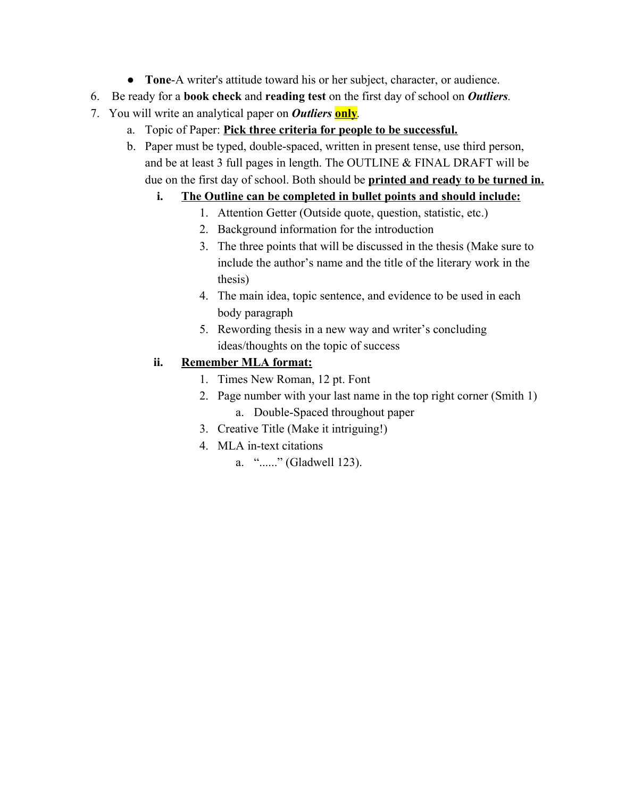- **Tone**-A writer's attitude toward his or her subject, character, or audience.
- 6. Be ready for a **book check** and **reading test** on the first day of school on *Outliers.*
- 7. You will write an analytical paper on *Outliers* **only***.*
	- a. Topic of Paper: **Pick three criteria for people to be successful.**
	- b. Paper must be typed, double-spaced, written in present tense, use third person, and be at least 3 full pages in length. The OUTLINE & FINAL DRAFT will be due on the first day of school. Both should be **printed and ready to be turned in.**

# **i. The Outline can be completed in bullet points and should include:**

- 1. Attention Getter (Outside quote, question, statistic, etc.)
- 2. Background information for the introduction
- 3. The three points that will be discussed in the thesis (Make sure to include the author's name and the title of the literary work in the thesis)
- 4. The main idea, topic sentence, and evidence to be used in each body paragraph
- 5. Rewording thesis in a new way and writer's concluding ideas/thoughts on the topic of success

# **ii. Remember MLA format:**

- 1. Times New Roman, 12 pt. Font
- 2. Page number with your last name in the top right corner (Smith 1) a. Double-Spaced throughout paper
- 3. Creative Title (Make it intriguing!)
- 4. MLA in-text citations
	- a. "......" (Gladwell 123).